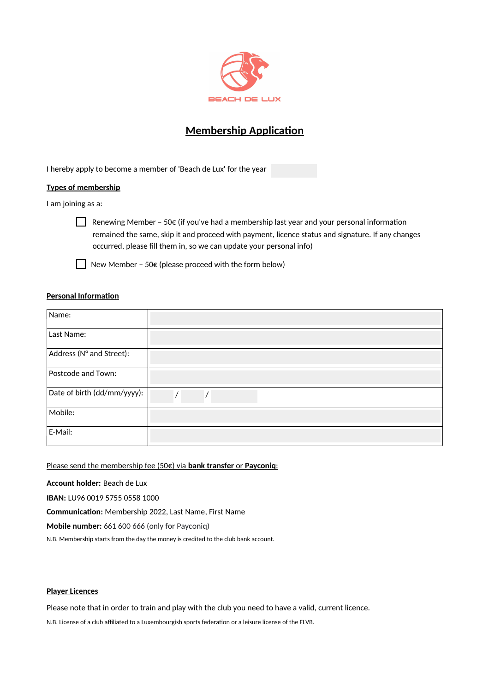

# **Membership Applicaton**

I hereby apply to become a member of 'Beach de Lux' for the year

## **Types of membership**

I am joining as a:

Renewing Member – 50 $\epsilon$  (if you've had a membership last year and your personal information remained the same, skip it and proceed with payment, licence status and signature. If any changes occurred, please fll them in, so we can update your personal info)



New Member - 50 $\varepsilon$  (please proceed with the form below)

## **Personal Information**

| Name:                       |          |
|-----------------------------|----------|
| Last Name:                  |          |
| Address (N° and Street):    |          |
| Postcode and Town:          |          |
| Date of birth (dd/mm/yyyy): | $\prime$ |
| Mobile:                     |          |
| E-Mail:                     |          |

Please send the membership fee (50€) via **bank transfer** or **Payconiq**:

**Account holder:** Beach de Lux

**IBAN:** LU96 0019 5755 0558 1000

**Communicaton:** Membership 2022, Last Name, First Name

**Mobile number:** 661 600 666 (only for Payconiq)

N.B. Membership starts from the day the money is credited to the club bank account.

# **Player Licences**

Please note that in order to train and play with the club you need to have a valid, current licence.

N.B. License of a club affiliated to a Luxembourgish sports federation or a leisure license of the FLVB.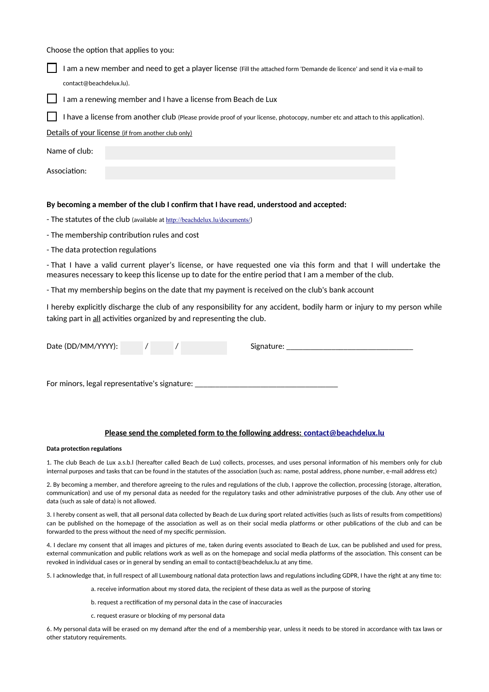Choose the option that applies to you:



Details of your license (if from another club only)

| Name of club: |  |  |
|---------------|--|--|
| Association:  |  |  |

#### **By becoming a member of the club I confrm that I have read, understood and accepted:**

- The statutes of the club (available at <http://beachdelux.lu/documents/>)

- The membership contribution rules and cost
- The data protection regulations

- That I have a valid current player's license, or have requested one via this form and that I will undertake the measures necessary to keep this license up to date for the entre period that I am a member of the club.

- That my membership begins on the date that my payment is received on the club's bank account

I hereby explicitly discharge the club of any responsibility for any accident, bodily harm or injury to my person while taking part in all activities organized by and representing the club.

| Date (DD/MM/YYYY): |  | Signature: |
|--------------------|--|------------|
|                    |  |            |

For minors, legal representative's signature:

#### **Please send the completed form to the following address: [contact@beachdelux.lu](mailto:contact@beachdelux.lu)**

#### **Data protection regulations**

1. The club Beach de Lux a.s.b.l (hereafer called Beach de Lux) collects, processes, and uses personal informaton of his members only for club internal purposes and tasks that can be found in the statutes of the association (such as: name, postal address, phone number, e-mail address etc)

2. By becoming a member, and therefore agreeing to the rules and regulations of the club, I approve the collection, processing (storage, alteration, communication) and use of my personal data as needed for the regulatory tasks and other administrative purposes of the club. Any other use of data (such as sale of data) is not allowed.

3. I hereby consent as well, that all personal data collected by Beach de Lux during sport related activities (such as lists of results from competitions) can be published on the homepage of the associaton as well as on their social media platorms or other publicatons of the club and can be forwarded to the press without the need of my specific permission.

4. I declare my consent that all images and pictures of me, taken during events associated to Beach de Lux, can be published and used for press, external communication and public relations work as well as on the homepage and social media platforms of the association. This consent can be revoked in individual cases or in general by sending an email to contact@beachdelux.lu at any tme.

5. I acknowledge that, in full respect of all Luxembourg national data protection laws and regulations including GDPR, I have the right at any time to:

a. receive information about my stored data, the recipient of these data as well as the purpose of storing

- b. request a rectification of my personal data in the case of inaccuracies
- c. request erasure or blocking of my personal data

6. My personal data will be erased on my demand afer the end of a membership year, unless it needs to be stored in accordance with tax laws or other statutory requirements.